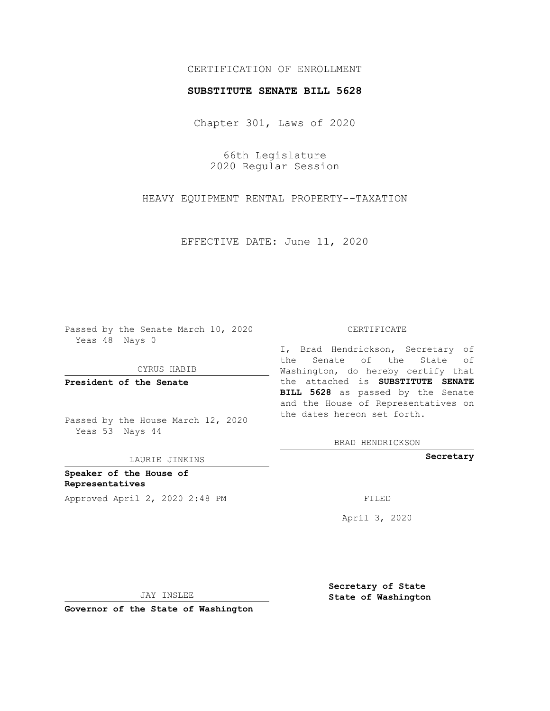## CERTIFICATION OF ENROLLMENT

## **SUBSTITUTE SENATE BILL 5628**

Chapter 301, Laws of 2020

66th Legislature 2020 Regular Session

HEAVY EQUIPMENT RENTAL PROPERTY--TAXATION

EFFECTIVE DATE: June 11, 2020

Passed by the Senate March 10, 2020 Yeas 48 Nays 0

CYRUS HABIB

**President of the Senate**

Passed by the House March 12, 2020 Yeas 53 Nays 44

LAURIE JINKINS

**Speaker of the House of Representatives** Approved April 2, 2020 2:48 PM

## CERTIFICATE

I, Brad Hendrickson, Secretary of the Senate of the State of Washington, do hereby certify that the attached is **SUBSTITUTE SENATE BILL 5628** as passed by the Senate and the House of Representatives on the dates hereon set forth.

BRAD HENDRICKSON

**Secretary**

April 3, 2020

JAY INSLEE

**Governor of the State of Washington**

**Secretary of State State of Washington**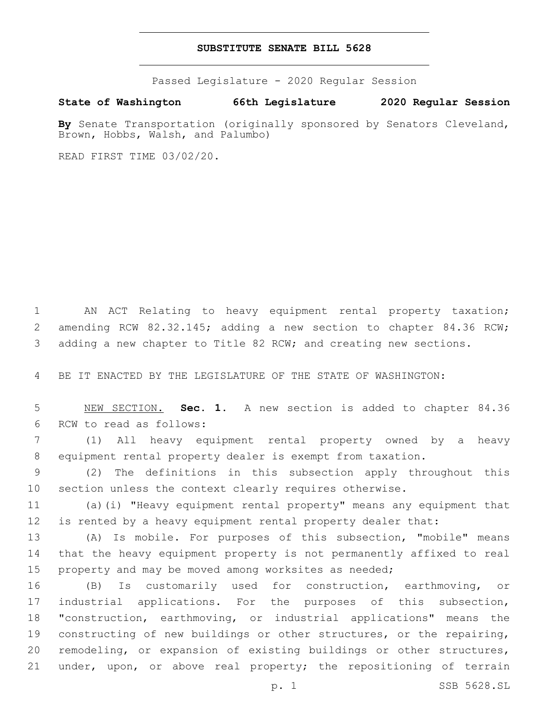## **SUBSTITUTE SENATE BILL 5628**

Passed Legislature - 2020 Regular Session

**State of Washington 66th Legislature 2020 Regular Session**

**By** Senate Transportation (originally sponsored by Senators Cleveland, Brown, Hobbs, Walsh, and Palumbo)

READ FIRST TIME 03/02/20.

 AN ACT Relating to heavy equipment rental property taxation; 2 amending RCW 82.32.145; adding a new section to chapter 84.36 RCW; adding a new chapter to Title 82 RCW; and creating new sections.

BE IT ENACTED BY THE LEGISLATURE OF THE STATE OF WASHINGTON:

 NEW SECTION. **Sec. 1.** A new section is added to chapter 84.36 6 RCW to read as follows:

 (1) All heavy equipment rental property owned by a heavy equipment rental property dealer is exempt from taxation.

 (2) The definitions in this subsection apply throughout this section unless the context clearly requires otherwise.

 (a)(i) "Heavy equipment rental property" means any equipment that is rented by a heavy equipment rental property dealer that:

 (A) Is mobile. For purposes of this subsection, "mobile" means that the heavy equipment property is not permanently affixed to real property and may be moved among worksites as needed;

 (B) Is customarily used for construction, earthmoving, or industrial applications. For the purposes of this subsection, "construction, earthmoving, or industrial applications" means the constructing of new buildings or other structures, or the repairing, remodeling, or expansion of existing buildings or other structures, 21 under, upon, or above real property; the repositioning of terrain

p. 1 SSB 5628.SL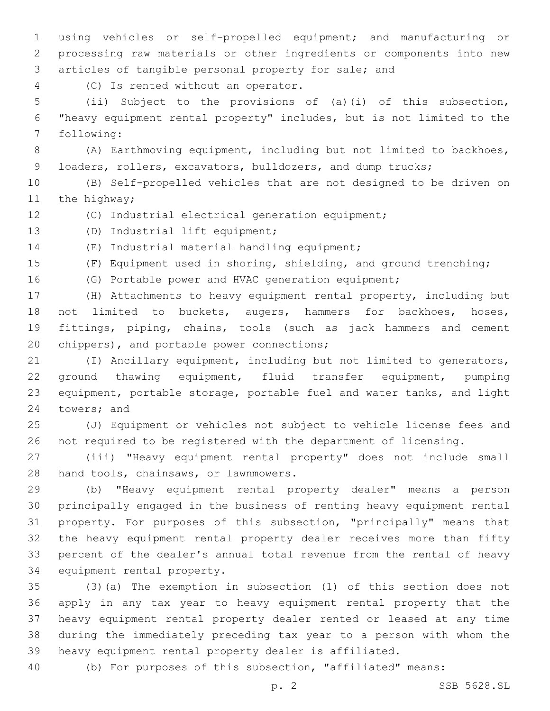using vehicles or self-propelled equipment; and manufacturing or processing raw materials or other ingredients or components into new articles of tangible personal property for sale; and

(C) Is rented without an operator.4

 (ii) Subject to the provisions of (a)(i) of this subsection, "heavy equipment rental property" includes, but is not limited to the 7 following:

 (A) Earthmoving equipment, including but not limited to backhoes, loaders, rollers, excavators, bulldozers, and dump trucks;

 (B) Self-propelled vehicles that are not designed to be driven on 11 the highway;

- (C) Industrial electrical generation equipment;
- 13 (D) Industrial lift equipment;

14 (E) Industrial material handling equipment;

 (F) Equipment used in shoring, shielding, and ground trenching; (G) Portable power and HVAC generation equipment;

 (H) Attachments to heavy equipment rental property, including but not limited to buckets, augers, hammers for backhoes, hoses, fittings, piping, chains, tools (such as jack hammers and cement

20 chippers), and portable power connections;

 (I) Ancillary equipment, including but not limited to generators, ground thawing equipment, fluid transfer equipment, pumping equipment, portable storage, portable fuel and water tanks, and light 24 towers; and

 (J) Equipment or vehicles not subject to vehicle license fees and not required to be registered with the department of licensing.

 (iii) "Heavy equipment rental property" does not include small 28 hand tools, chainsaws, or lawnmowers.

 (b) "Heavy equipment rental property dealer" means a person principally engaged in the business of renting heavy equipment rental property. For purposes of this subsection, "principally" means that the heavy equipment rental property dealer receives more than fifty percent of the dealer's annual total revenue from the rental of heavy 34 equipment rental property.

 (3)(a) The exemption in subsection (1) of this section does not apply in any tax year to heavy equipment rental property that the heavy equipment rental property dealer rented or leased at any time during the immediately preceding tax year to a person with whom the heavy equipment rental property dealer is affiliated.

(b) For purposes of this subsection, "affiliated" means: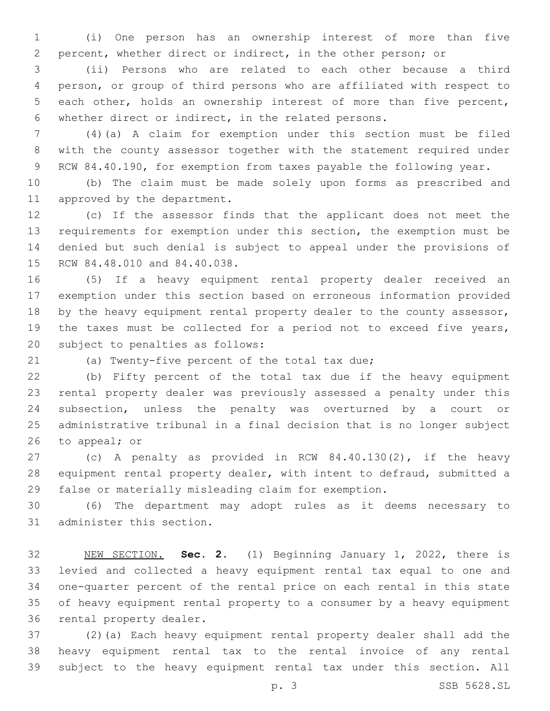(i) One person has an ownership interest of more than five percent, whether direct or indirect, in the other person; or

 (ii) Persons who are related to each other because a third person, or group of third persons who are affiliated with respect to each other, holds an ownership interest of more than five percent, whether direct or indirect, in the related persons.

 (4)(a) A claim for exemption under this section must be filed with the county assessor together with the statement required under 9 RCW 84.40.190, for exemption from taxes payable the following year.

 (b) The claim must be made solely upon forms as prescribed and 11 approved by the department.

 (c) If the assessor finds that the applicant does not meet the requirements for exemption under this section, the exemption must be denied but such denial is subject to appeal under the provisions of 15 RCW 84.48.010 and 84.40.038.

 (5) If a heavy equipment rental property dealer received an exemption under this section based on erroneous information provided 18 by the heavy equipment rental property dealer to the county assessor, the taxes must be collected for a period not to exceed five years, 20 subject to penalties as follows:

(a) Twenty-five percent of the total tax due;

 (b) Fifty percent of the total tax due if the heavy equipment rental property dealer was previously assessed a penalty under this subsection, unless the penalty was overturned by a court or administrative tribunal in a final decision that is no longer subject to appeal; or

 (c) A penalty as provided in RCW 84.40.130(2), if the heavy equipment rental property dealer, with intent to defraud, submitted a false or materially misleading claim for exemption.

 (6) The department may adopt rules as it deems necessary to 31 administer this section.

 NEW SECTION. **Sec. 2.** (1) Beginning January 1, 2022, there is levied and collected a heavy equipment rental tax equal to one and one-quarter percent of the rental price on each rental in this state of heavy equipment rental property to a consumer by a heavy equipment rental property dealer.

 (2)(a) Each heavy equipment rental property dealer shall add the heavy equipment rental tax to the rental invoice of any rental subject to the heavy equipment rental tax under this section. All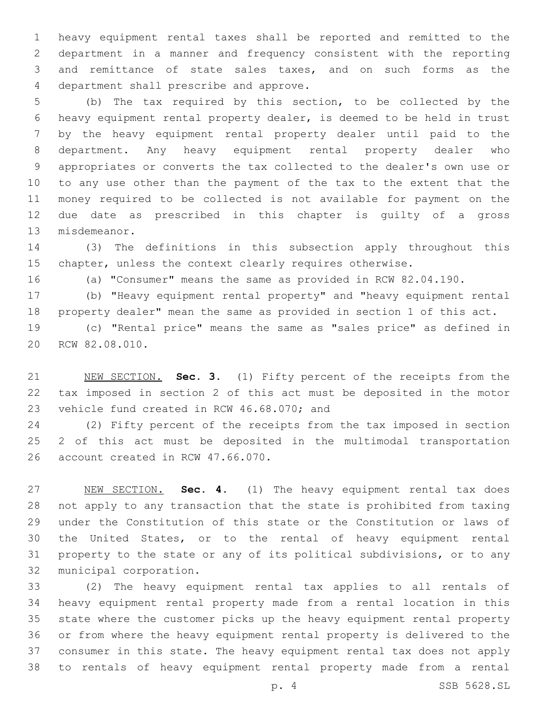heavy equipment rental taxes shall be reported and remitted to the department in a manner and frequency consistent with the reporting and remittance of state sales taxes, and on such forms as the 4 department shall prescribe and approve.

 (b) The tax required by this section, to be collected by the heavy equipment rental property dealer, is deemed to be held in trust by the heavy equipment rental property dealer until paid to the department. Any heavy equipment rental property dealer who appropriates or converts the tax collected to the dealer's own use or to any use other than the payment of the tax to the extent that the money required to be collected is not available for payment on the due date as prescribed in this chapter is guilty of a gross 13 misdemeanor.

 (3) The definitions in this subsection apply throughout this chapter, unless the context clearly requires otherwise.

(a) "Consumer" means the same as provided in RCW 82.04.190.

 (b) "Heavy equipment rental property" and "heavy equipment rental property dealer" mean the same as provided in section 1 of this act.

 (c) "Rental price" means the same as "sales price" as defined in 20 RCW 82.08.010.

 NEW SECTION. **Sec. 3.** (1) Fifty percent of the receipts from the tax imposed in section 2 of this act must be deposited in the motor vehicle fund created in RCW 46.68.070; and

 (2) Fifty percent of the receipts from the tax imposed in section 2 of this act must be deposited in the multimodal transportation 26 account created in RCW 47.66.070.

 NEW SECTION. **Sec. 4.** (1) The heavy equipment rental tax does not apply to any transaction that the state is prohibited from taxing under the Constitution of this state or the Constitution or laws of the United States, or to the rental of heavy equipment rental property to the state or any of its political subdivisions, or to any municipal corporation.

 (2) The heavy equipment rental tax applies to all rentals of heavy equipment rental property made from a rental location in this state where the customer picks up the heavy equipment rental property or from where the heavy equipment rental property is delivered to the consumer in this state. The heavy equipment rental tax does not apply to rentals of heavy equipment rental property made from a rental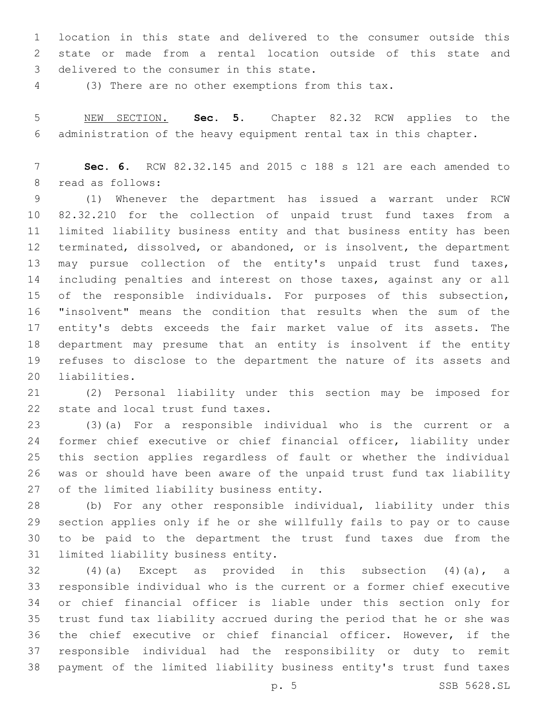location in this state and delivered to the consumer outside this state or made from a rental location outside of this state and 3 delivered to the consumer in this state.

(3) There are no other exemptions from this tax.

 NEW SECTION. **Sec. 5.** Chapter 82.32 RCW applies to the administration of the heavy equipment rental tax in this chapter.

 **Sec. 6.** RCW 82.32.145 and 2015 c 188 s 121 are each amended to 8 read as follows:

 (1) Whenever the department has issued a warrant under RCW 82.32.210 for the collection of unpaid trust fund taxes from a limited liability business entity and that business entity has been terminated, dissolved, or abandoned, or is insolvent, the department may pursue collection of the entity's unpaid trust fund taxes, including penalties and interest on those taxes, against any or all of the responsible individuals. For purposes of this subsection, "insolvent" means the condition that results when the sum of the entity's debts exceeds the fair market value of its assets. The department may presume that an entity is insolvent if the entity refuses to disclose to the department the nature of its assets and 20 liabilities.

 (2) Personal liability under this section may be imposed for 22 state and local trust fund taxes.

 (3)(a) For a responsible individual who is the current or a former chief executive or chief financial officer, liability under this section applies regardless of fault or whether the individual was or should have been aware of the unpaid trust fund tax liability 27 of the limited liability business entity.

 (b) For any other responsible individual, liability under this section applies only if he or she willfully fails to pay or to cause to be paid to the department the trust fund taxes due from the 31 limited liability business entity.

 (4)(a) Except as provided in this subsection (4)(a), a responsible individual who is the current or a former chief executive or chief financial officer is liable under this section only for trust fund tax liability accrued during the period that he or she was the chief executive or chief financial officer. However, if the responsible individual had the responsibility or duty to remit payment of the limited liability business entity's trust fund taxes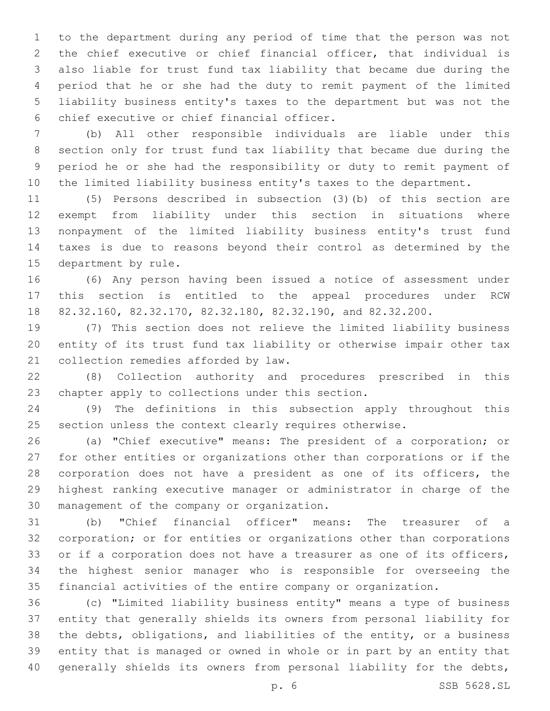to the department during any period of time that the person was not the chief executive or chief financial officer, that individual is also liable for trust fund tax liability that became due during the period that he or she had the duty to remit payment of the limited liability business entity's taxes to the department but was not the 6 chief executive or chief financial officer.

 (b) All other responsible individuals are liable under this section only for trust fund tax liability that became due during the period he or she had the responsibility or duty to remit payment of the limited liability business entity's taxes to the department.

 (5) Persons described in subsection (3)(b) of this section are exempt from liability under this section in situations where nonpayment of the limited liability business entity's trust fund taxes is due to reasons beyond their control as determined by the 15 department by rule.

 (6) Any person having been issued a notice of assessment under this section is entitled to the appeal procedures under RCW 82.32.160, 82.32.170, 82.32.180, 82.32.190, and 82.32.200.

 (7) This section does not relieve the limited liability business entity of its trust fund tax liability or otherwise impair other tax 21 collection remedies afforded by law.

 (8) Collection authority and procedures prescribed in this 23 chapter apply to collections under this section.

 (9) The definitions in this subsection apply throughout this section unless the context clearly requires otherwise.

 (a) "Chief executive" means: The president of a corporation; or for other entities or organizations other than corporations or if the corporation does not have a president as one of its officers, the highest ranking executive manager or administrator in charge of the 30 management of the company or organization.

 (b) "Chief financial officer" means: The treasurer of a corporation; or for entities or organizations other than corporations or if a corporation does not have a treasurer as one of its officers, the highest senior manager who is responsible for overseeing the financial activities of the entire company or organization.

 (c) "Limited liability business entity" means a type of business entity that generally shields its owners from personal liability for the debts, obligations, and liabilities of the entity, or a business entity that is managed or owned in whole or in part by an entity that generally shields its owners from personal liability for the debts,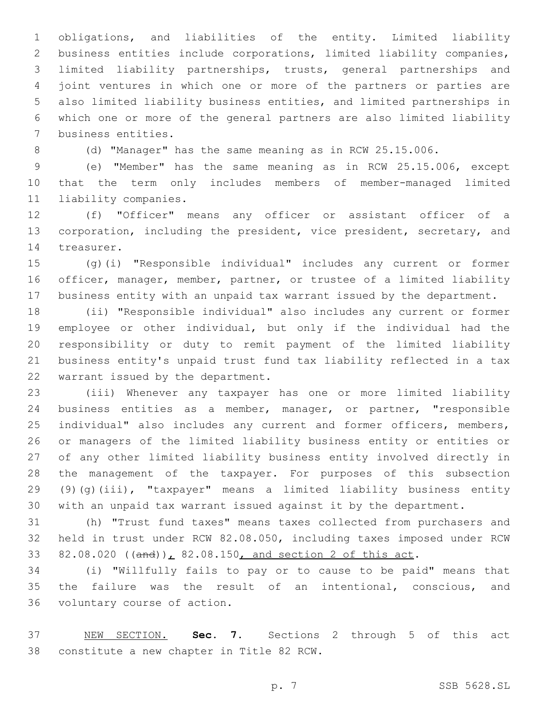obligations, and liabilities of the entity. Limited liability business entities include corporations, limited liability companies, limited liability partnerships, trusts, general partnerships and joint ventures in which one or more of the partners or parties are also limited liability business entities, and limited partnerships in which one or more of the general partners are also limited liability 7 business entities.

(d) "Manager" has the same meaning as in RCW 25.15.006.

 (e) "Member" has the same meaning as in RCW 25.15.006, except that the term only includes members of member-managed limited 11 liability companies.

 (f) "Officer" means any officer or assistant officer of a corporation, including the president, vice president, secretary, and 14 treasurer.

 (g)(i) "Responsible individual" includes any current or former officer, manager, member, partner, or trustee of a limited liability business entity with an unpaid tax warrant issued by the department.

 (ii) "Responsible individual" also includes any current or former employee or other individual, but only if the individual had the responsibility or duty to remit payment of the limited liability business entity's unpaid trust fund tax liability reflected in a tax 22 warrant issued by the department.

 (iii) Whenever any taxpayer has one or more limited liability business entities as a member, manager, or partner, "responsible individual" also includes any current and former officers, members, or managers of the limited liability business entity or entities or of any other limited liability business entity involved directly in the management of the taxpayer. For purposes of this subsection 29 (9)( $q$ )(iii), "taxpayer" means a limited liability business entity with an unpaid tax warrant issued against it by the department.

 (h) "Trust fund taxes" means taxes collected from purchasers and held in trust under RCW 82.08.050, including taxes imposed under RCW 33 82.08.020 ((and)), 82.08.150, and section 2 of this act.

 (i) "Willfully fails to pay or to cause to be paid" means that the failure was the result of an intentional, conscious, and 36 voluntary course of action.

 NEW SECTION. **Sec. 7.** Sections 2 through 5 of this act constitute a new chapter in Title 82 RCW.